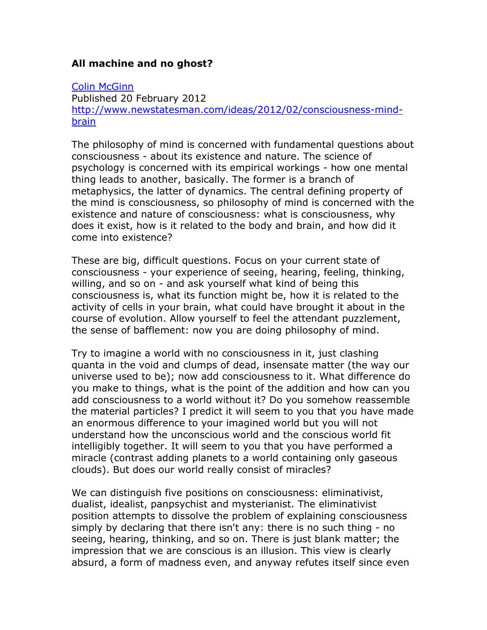## **All machine and no ghost?**

## [Colin McGinn](http://www.newstatesman.com/writers/colin_mcginn)

Published 20 February 2012 [http://www.newstatesman.com/ideas/2012/02/consciousness-mind](http://www.newstatesman.com/ideas/2012/02/consciousness-mind-brain)[brain](http://www.newstatesman.com/ideas/2012/02/consciousness-mind-brain)

The philosophy of mind is concerned with fundamental questions about consciousness - about its existence and nature. The science of psychology is concerned with its empirical workings - how one mental thing leads to another, basically. The former is a branch of metaphysics, the latter of dynamics. The central defining property of the mind is consciousness, so philosophy of mind is concerned with the existence and nature of consciousness: what is consciousness, why does it exist, how is it related to the body and brain, and how did it come into existence?

These are big, difficult questions. Focus on your current state of consciousness - your experience of seeing, hearing, feeling, thinking, willing, and so on - and ask yourself what kind of being this consciousness is, what its function might be, how it is related to the activity of cells in your brain, what could have brought it about in the course of evolution. Allow yourself to feel the attendant puzzlement, the sense of bafflement: now you are doing philosophy of mind.

Try to imagine a world with no consciousness in it, just clashing quanta in the void and clumps of dead, insensate matter (the way our universe used to be); now add consciousness to it. What difference do you make to things, what is the point of the addition and how can you add consciousness to a world without it? Do you somehow reassemble the material particles? I predict it will seem to you that you have made an enormous difference to your imagined world but you will not understand how the unconscious world and the conscious world fit intelligibly together. It will seem to you that you have performed a miracle (contrast adding planets to a world containing only gaseous clouds). But does our world really consist of miracles?

We can distinguish five positions on consciousness: eliminativist, dualist, idealist, panpsychist and mysterianist. The eliminativist position attempts to dissolve the problem of explaining consciousness simply by declaring that there isn't any: there is no such thing - no seeing, hearing, thinking, and so on. There is just blank matter; the impression that we are conscious is an illusion. This view is clearly absurd, a form of madness even, and anyway refutes itself since even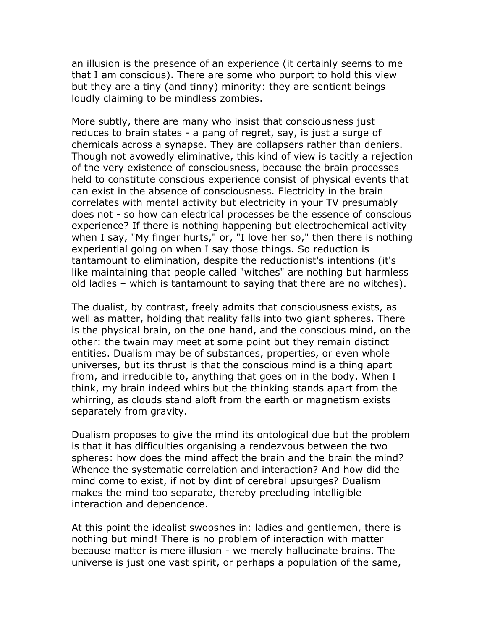an illusion is the presence of an experience (it certainly seems to me that I am conscious). There are some who purport to hold this view but they are a tiny (and tinny) minority: they are sentient beings loudly claiming to be mindless zombies.

More subtly, there are many who insist that consciousness just reduces to brain states - a pang of regret, say, is just a surge of chemicals across a synapse. They are collapsers rather than deniers. Though not avowedly eliminative, this kind of view is tacitly a rejection of the very existence of consciousness, because the brain processes held to constitute conscious experience consist of physical events that can exist in the absence of consciousness. Electricity in the brain correlates with mental activity but electricity in your TV presumably does not - so how can electrical processes be the essence of conscious experience? If there is nothing happening but electrochemical activity when I say, "My finger hurts," or, "I love her so," then there is nothing experiential going on when I say those things. So reduction is tantamount to elimination, despite the reductionist's intentions (it's like maintaining that people called "witches" are nothing but harmless old ladies – which is tantamount to saying that there are no witches).

The dualist, by contrast, freely admits that consciousness exists, as well as matter, holding that reality falls into two giant spheres. There is the physical brain, on the one hand, and the conscious mind, on the other: the twain may meet at some point but they remain distinct entities. Dualism may be of substances, properties, or even whole universes, but its thrust is that the conscious mind is a thing apart from, and irreducible to, anything that goes on in the body. When I think, my brain indeed whirs but the thinking stands apart from the whirring, as clouds stand aloft from the earth or magnetism exists separately from gravity.

Dualism proposes to give the mind its ontological due but the problem is that it has difficulties organising a rendezvous between the two spheres: how does the mind affect the brain and the brain the mind? Whence the systematic correlation and interaction? And how did the mind come to exist, if not by dint of cerebral upsurges? Dualism makes the mind too separate, thereby precluding intelligible interaction and dependence.

At this point the idealist swooshes in: ladies and gentlemen, there is nothing but mind! There is no problem of interaction with matter because matter is mere illusion - we merely hallucinate brains. The universe is just one vast spirit, or perhaps a population of the same,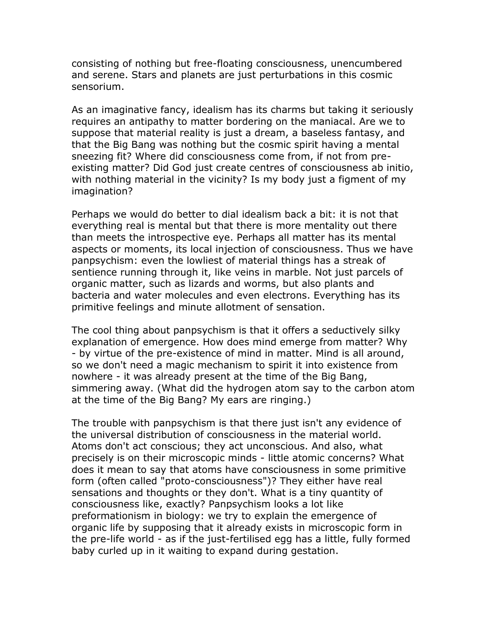consisting of nothing but free-floating consciousness, unencumbered and serene. Stars and planets are just perturbations in this cosmic sensorium.

As an imaginative fancy, idealism has its charms but taking it seriously requires an antipathy to matter bordering on the maniacal. Are we to suppose that material reality is just a dream, a baseless fantasy, and that the Big Bang was nothing but the cosmic spirit having a mental sneezing fit? Where did consciousness come from, if not from preexisting matter? Did God just create centres of consciousness ab initio, with nothing material in the vicinity? Is my body just a figment of my imagination?

Perhaps we would do better to dial idealism back a bit: it is not that everything real is mental but that there is more mentality out there than meets the introspective eye. Perhaps all matter has its mental aspects or moments, its local injection of consciousness. Thus we have panpsychism: even the lowliest of material things has a streak of sentience running through it, like veins in marble. Not just parcels of organic matter, such as lizards and worms, but also plants and bacteria and water molecules and even electrons. Everything has its primitive feelings and minute allotment of sensation.

The cool thing about panpsychism is that it offers a seductively silky explanation of emergence. How does mind emerge from matter? Why - by virtue of the pre-existence of mind in matter. Mind is all around, so we don't need a magic mechanism to spirit it into existence from nowhere - it was already present at the time of the Big Bang, simmering away. (What did the hydrogen atom say to the carbon atom at the time of the Big Bang? My ears are ringing.)

The trouble with panpsychism is that there just isn't any evidence of the universal distribution of consciousness in the material world. Atoms don't act conscious; they act unconscious. And also, what precisely is on their microscopic minds - little atomic concerns? What does it mean to say that atoms have consciousness in some primitive form (often called "proto-consciousness")? They either have real sensations and thoughts or they don't. What is a tiny quantity of consciousness like, exactly? Panpsychism looks a lot like preformationism in biology: we try to explain the emergence of organic life by supposing that it already exists in microscopic form in the pre-life world - as if the just-fertilised egg has a little, fully formed baby curled up in it waiting to expand during gestation.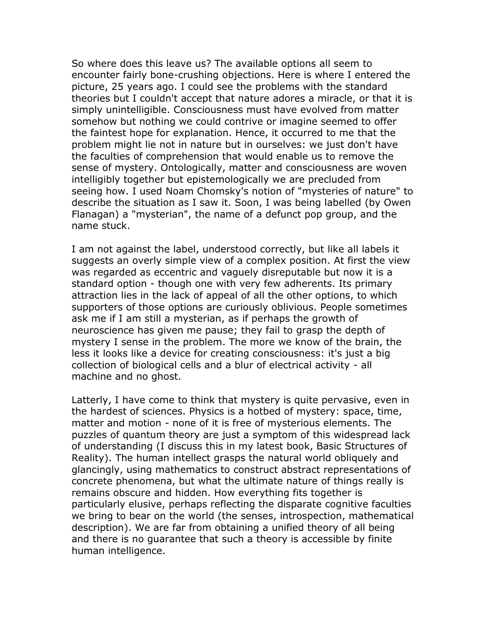So where does this leave us? The available options all seem to encounter fairly bone-crushing objections. Here is where I entered the picture, 25 years ago. I could see the problems with the standard theories but I couldn't accept that nature adores a miracle, or that it is simply unintelligible. Consciousness must have evolved from matter somehow but nothing we could contrive or imagine seemed to offer the faintest hope for explanation. Hence, it occurred to me that the problem might lie not in nature but in ourselves: we just don't have the faculties of comprehension that would enable us to remove the sense of mystery. Ontologically, matter and consciousness are woven intelligibly together but epistemologically we are precluded from seeing how. I used Noam Chomsky's notion of "mysteries of nature" to describe the situation as I saw it. Soon, I was being labelled (by Owen Flanagan) a "mysterian", the name of a defunct pop group, and the name stuck.

I am not against the label, understood correctly, but like all labels it suggests an overly simple view of a complex position. At first the view was regarded as eccentric and vaguely disreputable but now it is a standard option - though one with very few adherents. Its primary attraction lies in the lack of appeal of all the other options, to which supporters of those options are curiously oblivious. People sometimes ask me if I am still a mysterian, as if perhaps the growth of neuroscience has given me pause; they fail to grasp the depth of mystery I sense in the problem. The more we know of the brain, the less it looks like a device for creating consciousness: it's just a big collection of biological cells and a blur of electrical activity - all machine and no ghost.

Latterly, I have come to think that mystery is quite pervasive, even in the hardest of sciences. Physics is a hotbed of mystery: space, time, matter and motion - none of it is free of mysterious elements. The puzzles of quantum theory are just a symptom of this widespread lack of understanding (I discuss this in my latest book, Basic Structures of Reality). The human intellect grasps the natural world obliquely and glancingly, using mathematics to construct abstract representations of concrete phenomena, but what the ultimate nature of things really is remains obscure and hidden. How everything fits together is particularly elusive, perhaps reflecting the disparate cognitive faculties we bring to bear on the world (the senses, introspection, mathematical description). We are far from obtaining a unified theory of all being and there is no guarantee that such a theory is accessible by finite human intelligence.